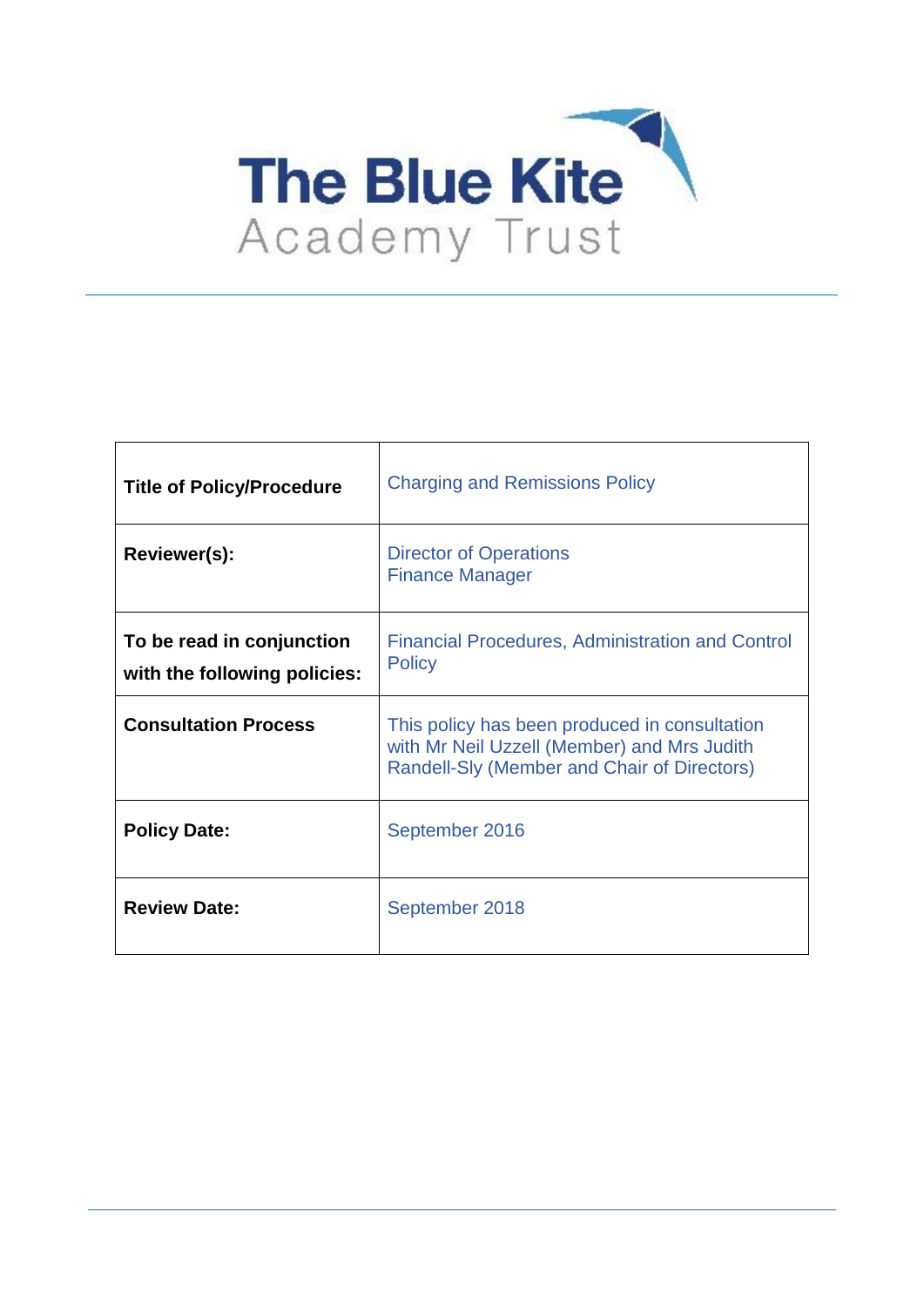

| <b>Title of Policy/Procedure</b>                          | <b>Charging and Remissions Policy</b>                                                                                                       |
|-----------------------------------------------------------|---------------------------------------------------------------------------------------------------------------------------------------------|
| Reviewer(s):                                              | <b>Director of Operations</b><br><b>Finance Manager</b>                                                                                     |
| To be read in conjunction<br>with the following policies: | <b>Financial Procedures, Administration and Control</b><br><b>Policy</b>                                                                    |
| <b>Consultation Process</b>                               | This policy has been produced in consultation<br>with Mr Neil Uzzell (Member) and Mrs Judith<br>Randell-Sly (Member and Chair of Directors) |
| <b>Policy Date:</b>                                       | September 2016                                                                                                                              |
| <b>Review Date:</b>                                       | September 2018                                                                                                                              |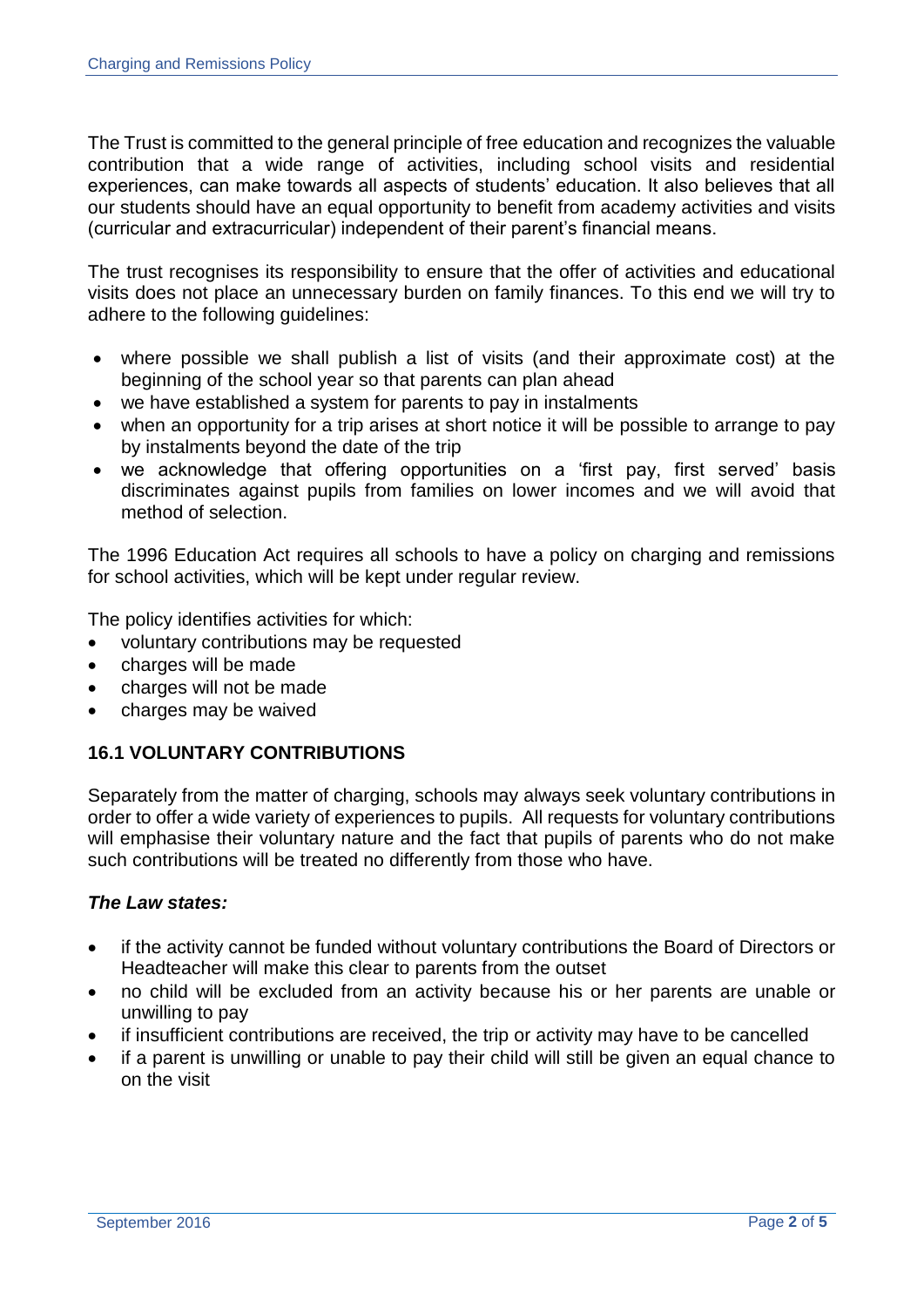The Trust is committed to the general principle of free education and recognizes the valuable contribution that a wide range of activities, including school visits and residential experiences, can make towards all aspects of students' education. It also believes that all our students should have an equal opportunity to benefit from academy activities and visits (curricular and extracurricular) independent of their parent's financial means.

The trust recognises its responsibility to ensure that the offer of activities and educational visits does not place an unnecessary burden on family finances. To this end we will try to adhere to the following guidelines:

- where possible we shall publish a list of visits (and their approximate cost) at the beginning of the school year so that parents can plan ahead
- we have established a system for parents to pay in instalments
- when an opportunity for a trip arises at short notice it will be possible to arrange to pay by instalments beyond the date of the trip
- we acknowledge that offering opportunities on a 'first pay, first served' basis discriminates against pupils from families on lower incomes and we will avoid that method of selection.

The 1996 Education Act requires all schools to have a policy on charging and remissions for school activities, which will be kept under regular review.

The policy identifies activities for which:

- voluntary contributions may be requested
- charges will be made
- charges will not be made
- charges may be waived

# **16.1 VOLUNTARY CONTRIBUTIONS**

Separately from the matter of charging, schools may always seek voluntary contributions in order to offer a wide variety of experiences to pupils. All requests for voluntary contributions will emphasise their voluntary nature and the fact that pupils of parents who do not make such contributions will be treated no differently from those who have.

### *The Law states:*

- if the activity cannot be funded without voluntary contributions the Board of Directors or Headteacher will make this clear to parents from the outset
- no child will be excluded from an activity because his or her parents are unable or unwilling to pay
- if insufficient contributions are received, the trip or activity may have to be cancelled
- if a parent is unwilling or unable to pay their child will still be given an equal chance to on the visit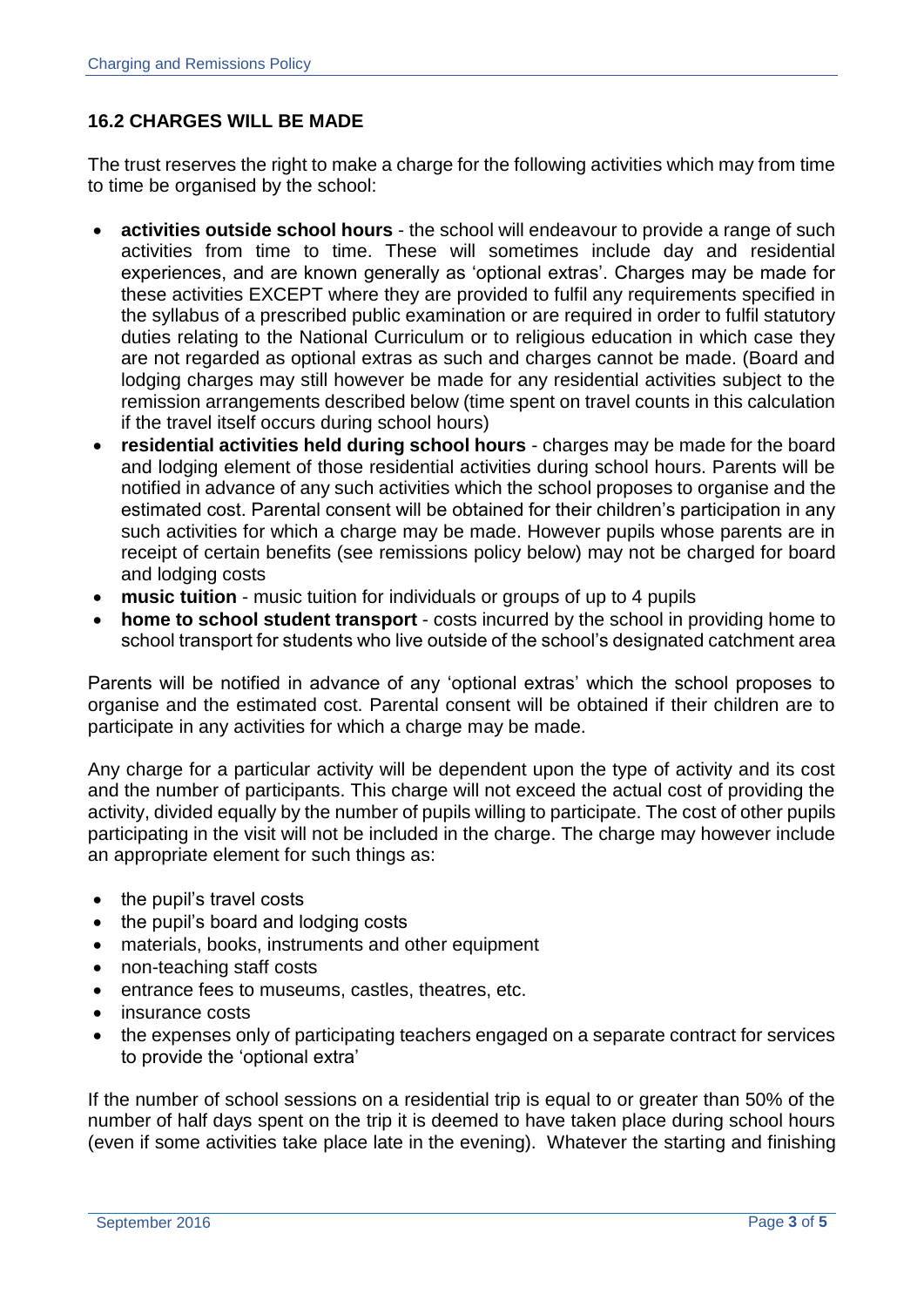## **16.2 CHARGES WILL BE MADE**

The trust reserves the right to make a charge for the following activities which may from time to time be organised by the school:

- **activities outside school hours**  the school will endeavour to provide a range of such activities from time to time. These will sometimes include day and residential experiences, and are known generally as 'optional extras'. Charges may be made for these activities EXCEPT where they are provided to fulfil any requirements specified in the syllabus of a prescribed public examination or are required in order to fulfil statutory duties relating to the National Curriculum or to religious education in which case they are not regarded as optional extras as such and charges cannot be made. (Board and lodging charges may still however be made for any residential activities subject to the remission arrangements described below (time spent on travel counts in this calculation if the travel itself occurs during school hours)
- **residential activities held during school hours**  charges may be made for the board and lodging element of those residential activities during school hours. Parents will be notified in advance of any such activities which the school proposes to organise and the estimated cost. Parental consent will be obtained for their children's participation in any such activities for which a charge may be made. However pupils whose parents are in receipt of certain benefits (see remissions policy below) may not be charged for board and lodging costs
- **music tuition**  music tuition for individuals or groups of up to 4 pupils
- **home to school student transport**  costs incurred by the school in providing home to school transport for students who live outside of the school's designated catchment area

Parents will be notified in advance of any 'optional extras' which the school proposes to organise and the estimated cost. Parental consent will be obtained if their children are to participate in any activities for which a charge may be made.

Any charge for a particular activity will be dependent upon the type of activity and its cost and the number of participants. This charge will not exceed the actual cost of providing the activity, divided equally by the number of pupils willing to participate. The cost of other pupils participating in the visit will not be included in the charge. The charge may however include an appropriate element for such things as:

- the pupil's travel costs
- the pupil's board and lodging costs
- materials, books, instruments and other equipment
- non-teaching staff costs
- entrance fees to museums, castles, theatres, etc.
- insurance costs
- the expenses only of participating teachers engaged on a separate contract for services to provide the 'optional extra'

If the number of school sessions on a residential trip is equal to or greater than 50% of the number of half days spent on the trip it is deemed to have taken place during school hours (even if some activities take place late in the evening). Whatever the starting and finishing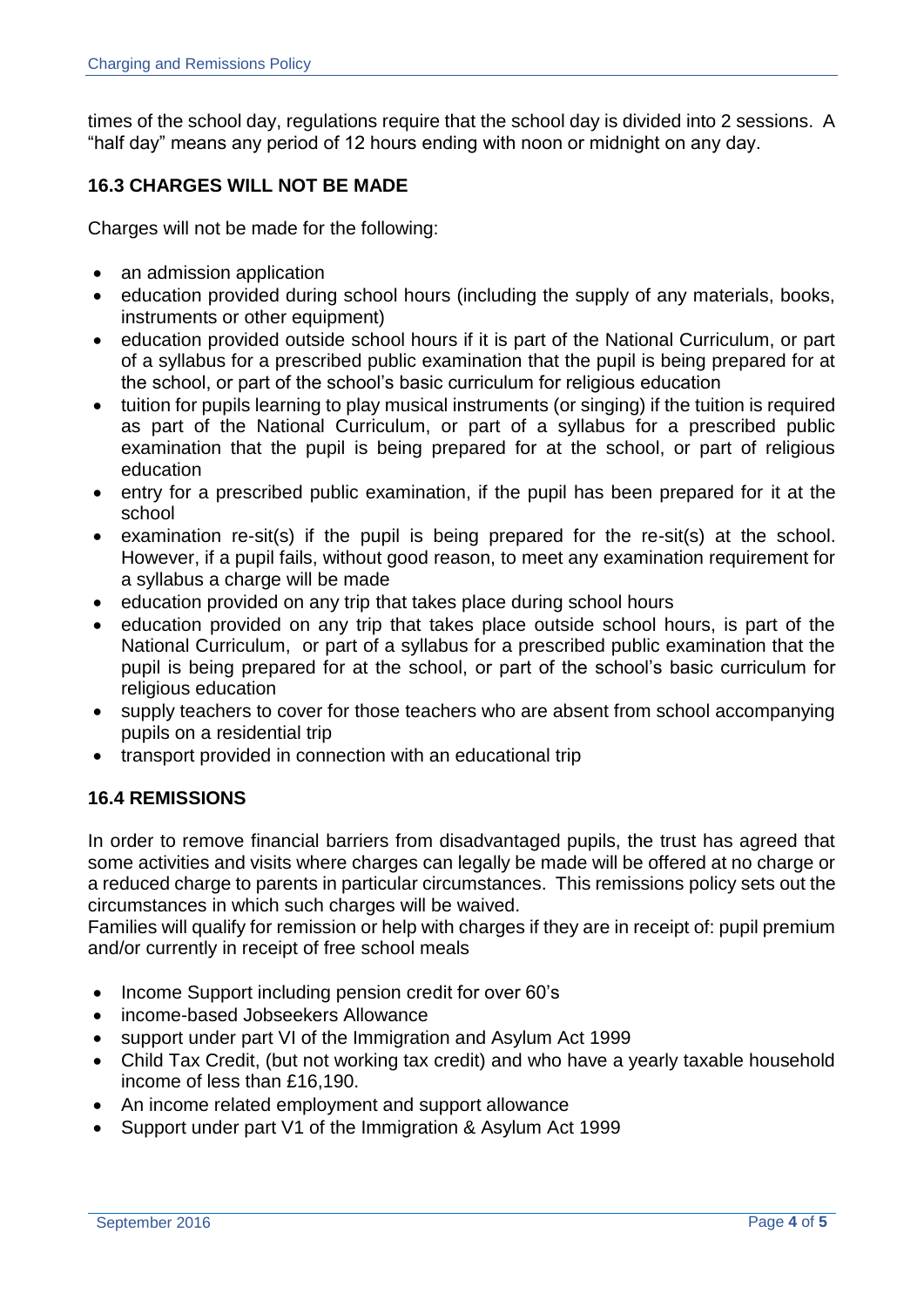times of the school day, regulations require that the school day is divided into 2 sessions. A "half day" means any period of 12 hours ending with noon or midnight on any day.

# **16.3 CHARGES WILL NOT BE MADE**

Charges will not be made for the following:

- an admission application
- education provided during school hours (including the supply of any materials, books, instruments or other equipment)
- education provided outside school hours if it is part of the National Curriculum, or part of a syllabus for a prescribed public examination that the pupil is being prepared for at the school, or part of the school's basic curriculum for religious education
- tuition for pupils learning to play musical instruments (or singing) if the tuition is required as part of the National Curriculum, or part of a syllabus for a prescribed public examination that the pupil is being prepared for at the school, or part of religious education
- entry for a prescribed public examination, if the pupil has been prepared for it at the school
- examination re-sit(s) if the pupil is being prepared for the re-sit(s) at the school. However, if a pupil fails, without good reason, to meet any examination requirement for a syllabus a charge will be made
- education provided on any trip that takes place during school hours
- education provided on any trip that takes place outside school hours, is part of the National Curriculum, or part of a syllabus for a prescribed public examination that the pupil is being prepared for at the school, or part of the school's basic curriculum for religious education
- supply teachers to cover for those teachers who are absent from school accompanying pupils on a residential trip
- transport provided in connection with an educational trip

# **16.4 REMISSIONS**

In order to remove financial barriers from disadvantaged pupils, the trust has agreed that some activities and visits where charges can legally be made will be offered at no charge or a reduced charge to parents in particular circumstances. This remissions policy sets out the circumstances in which such charges will be waived.

Families will qualify for remission or help with charges if they are in receipt of: pupil premium and/or currently in receipt of free school meals

- Income Support including pension credit for over 60's
- income-based Jobseekers Allowance
- support under part VI of the Immigration and Asylum Act 1999
- Child Tax Credit, (but not working tax credit) and who have a yearly taxable household income of less than £16,190.
- An income related employment and support allowance
- Support under part V1 of the Immigration & Asylum Act 1999